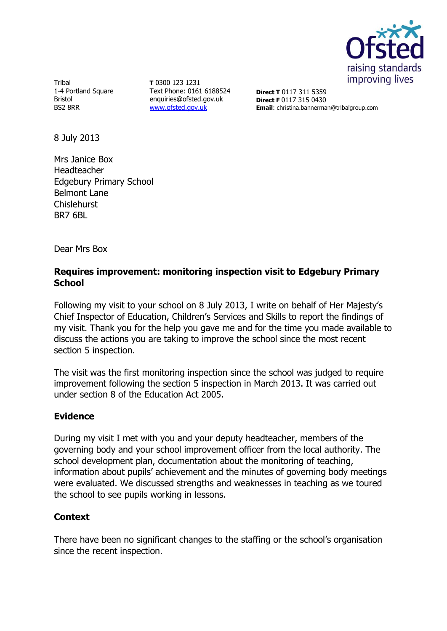

**Tribal** 1-4 Portland Square Bristol BS2 8RR

**T** 0300 123 1231 Text Phone: 0161 6188524 enquiries@ofsted.gov.uk [www.ofsted.gov.uk](http://www.ofsted.gov.uk/)

**Direct T** 0117 311 5359 **Direct F** 0117 315 0430 **Email**: christina.bannerman@tribalgroup.com

8 July 2013

Mrs Janice Box Headteacher Edgebury Primary School Belmont Lane **Chislehurst** BR7 6BL

Dear Mrs Box

### **Requires improvement: monitoring inspection visit to Edgebury Primary School**

Following my visit to your school on 8 July 2013, I write on behalf of Her Majesty's Chief Inspector of Education, Children's Services and Skills to report the findings of my visit. Thank you for the help you gave me and for the time you made available to discuss the actions you are taking to improve the school since the most recent section 5 inspection.

The visit was the first monitoring inspection since the school was judged to require improvement following the section 5 inspection in March 2013. It was carried out under section 8 of the Education Act 2005.

# **Evidence**

During my visit I met with you and your deputy headteacher, members of the governing body and your school improvement officer from the local authority. The school development plan, documentation about the monitoring of teaching, information about pupils' achievement and the minutes of governing body meetings were evaluated. We discussed strengths and weaknesses in teaching as we toured the school to see pupils working in lessons.

# **Context**

There have been no significant changes to the staffing or the school's organisation since the recent inspection.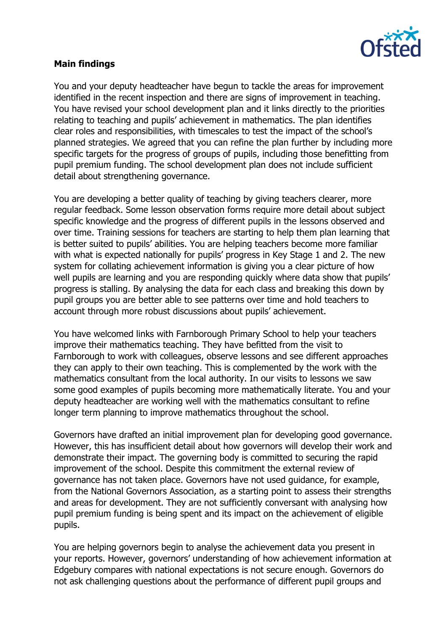

### **Main findings**

You and your deputy headteacher have begun to tackle the areas for improvement identified in the recent inspection and there are signs of improvement in teaching. You have revised your school development plan and it links directly to the priorities relating to teaching and pupils' achievement in mathematics. The plan identifies clear roles and responsibilities, with timescales to test the impact of the school's planned strategies. We agreed that you can refine the plan further by including more specific targets for the progress of groups of pupils, including those benefitting from pupil premium funding. The school development plan does not include sufficient detail about strengthening governance.

You are developing a better quality of teaching by giving teachers clearer, more regular feedback. Some lesson observation forms require more detail about subject specific knowledge and the progress of different pupils in the lessons observed and over time. Training sessions for teachers are starting to help them plan learning that is better suited to pupils' abilities. You are helping teachers become more familiar with what is expected nationally for pupils' progress in Key Stage 1 and 2. The new system for collating achievement information is giving you a clear picture of how well pupils are learning and you are responding quickly where data show that pupils' progress is stalling. By analysing the data for each class and breaking this down by pupil groups you are better able to see patterns over time and hold teachers to account through more robust discussions about pupils' achievement.

You have welcomed links with Farnborough Primary School to help your teachers improve their mathematics teaching. They have befitted from the visit to Farnborough to work with colleagues, observe lessons and see different approaches they can apply to their own teaching. This is complemented by the work with the mathematics consultant from the local authority. In our visits to lessons we saw some good examples of pupils becoming more mathematically literate. You and your deputy headteacher are working well with the mathematics consultant to refine longer term planning to improve mathematics throughout the school.

Governors have drafted an initial improvement plan for developing good governance. However, this has insufficient detail about how governors will develop their work and demonstrate their impact. The governing body is committed to securing the rapid improvement of the school. Despite this commitment the external review of governance has not taken place. Governors have not used guidance, for example, from the National Governors Association, as a starting point to assess their strengths and areas for development. They are not sufficiently conversant with analysing how pupil premium funding is being spent and its impact on the achievement of eligible pupils.

You are helping governors begin to analyse the achievement data you present in your reports. However, governors' understanding of how achievement information at Edgebury compares with national expectations is not secure enough. Governors do not ask challenging questions about the performance of different pupil groups and